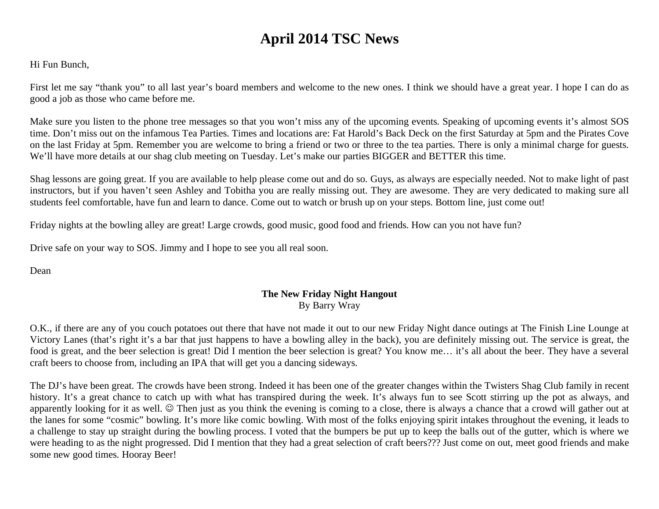# **April 2014 TSC News**

Hi Fun Bunch,

First let me say "thank you" to all last year's board members and welcome to the new ones. I think we should have a great year. I hope I can do as good a job as those who came before me.

Make sure you listen to the phone tree messages so that you won't miss any of the upcoming events. Speaking of upcoming events it's almost SOS time. Don't miss out on the infamous Tea Parties. Times and locations are: Fat Harold's Back Deck on the first Saturday at 5pm and the Pirates Cove on the last Friday at 5pm. Remember you are welcome to bring a friend or two or three to the tea parties. There is only a minimal charge for guests. We'll have more details at our shag club meeting on Tuesday. Let's make our parties BIGGER and BETTER this time.

Shag lessons are going great. If you are available to help please come out and do so. Guys, as always are especially needed. Not to make light of past instructors, but if you haven't seen Ashley and Tobitha you are really missing out. They are awesome. They are very dedicated to making sure all students feel comfortable, have fun and learn to dance. Come out to watch or brush up on your steps. Bottom line, just come out!

Friday nights at the bowling alley are great! Large crowds, good music, good food and friends. How can you not have fun?

Drive safe on your way to SOS. Jimmy and I hope to see you all real soon.

Dean

# **The New Friday Night Hangout**  By Barry Wray

O.K., if there are any of you couch potatoes out there that have not made it out to our new Friday Night dance outings at The Finish Line Lounge at Victory Lanes (that's right it's a bar that just happens to have a bowling alley in the back), you are definitely missing out. The service is great, the food is great, and the beer selection is great! Did I mention the beer selection is great? You know me… it's all about the beer. They have a several craft beers to choose from, including an IPA that will get you a dancing sideways.

The DJ's have been great. The crowds have been strong. Indeed it has been one of the greater changes within the Twisters Shag Club family in recent history. It's a great chance to catch up with what has transpired during the week. It's always fun to see Scott stirring up the pot as always, and apparently looking for it as well.  $\odot$  Then just as you think the evening is coming to a close, there is always a chance that a crowd will gather out at the lanes for some "cosmic" bowling. It's more like comic bowling. With most of the folks enjoying spirit intakes throughout the evening, it leads to a challenge to stay up straight during the bowling process. I voted that the bumpers be put up to keep the balls out of the gutter, which is where we were heading to as the night progressed. Did I mention that they had a great selection of craft beers??? Just come on out, meet good friends and make some new good times. Hooray Beer!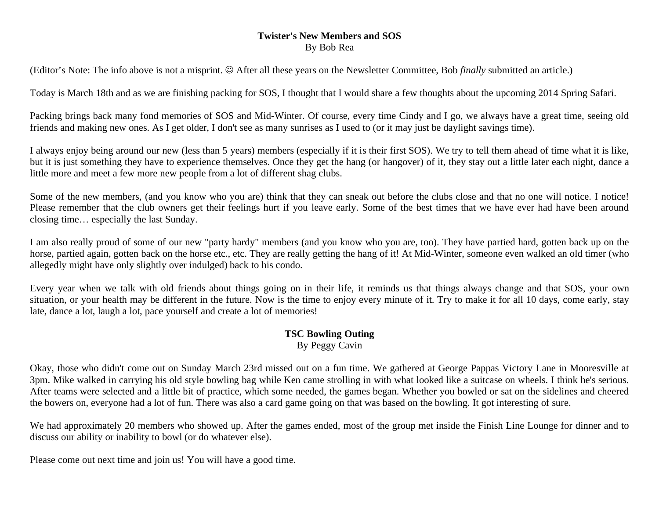### **Twister's New Members and SOS**  By Bob Rea

(Editor's Note: The info above is not a misprint.  $\odot$  After all these years on the Newsletter Committee, Bob *finally* submitted an article.)

Today is March 18th and as we are finishing packing for SOS, I thought that I would share a few thoughts about the upcoming 2014 Spring Safari.

Packing brings back many fond memories of SOS and Mid-Winter. Of course, every time Cindy and I go, we always have a great time, seeing old friends and making new ones. As I get older, I don't see as many sunrises as I used to (or it may just be daylight savings time).

I always enjoy being around our new (less than 5 years) members (especially if it is their first SOS). We try to tell them ahead of time what it is like, but it is just something they have to experience themselves. Once they get the hang (or hangover) of it, they stay out a little later each night, dance a little more and meet a few more new people from a lot of different shag clubs.

Some of the new members, (and you know who you are) think that they can sneak out before the clubs close and that no one will notice. I notice! Please remember that the club owners get their feelings hurt if you leave early. Some of the best times that we have ever had have been around closing time… especially the last Sunday.

I am also really proud of some of our new "party hardy" members (and you know who you are, too). They have partied hard, gotten back up on the horse, partied again, gotten back on the horse etc., etc. They are really getting the hang of it! At Mid-Winter, someone even walked an old timer (who allegedly might have only slightly over indulged) back to his condo.

Every year when we talk with old friends about things going on in their life, it reminds us that things always change and that SOS, your own situation, or your health may be different in the future. Now is the time to enjoy every minute of it. Try to make it for all 10 days, come early, stay late, dance a lot, laugh a lot, pace yourself and create a lot of memories!

### **TSC Bowling Outing**  By Peggy Cavin

Okay, those who didn't come out on Sunday March 23rd missed out on a fun time. We gathered at George Pappas Victory Lane in Mooresville at 3pm. Mike walked in carrying his old style bowling bag while Ken came strolling in with what looked like a suitcase on wheels. I think he's serious. After teams were selected and a little bit of practice, which some needed, the games began. Whether you bowled or sat on the sidelines and cheered the bowers on, everyone had a lot of fun. There was also a card game going on that was based on the bowling. It got interesting of sure.

We had approximately 20 members who showed up. After the games ended, most of the group met inside the Finish Line Lounge for dinner and to discuss our ability or inability to bowl (or do whatever else).

Please come out next time and join us! You will have a good time.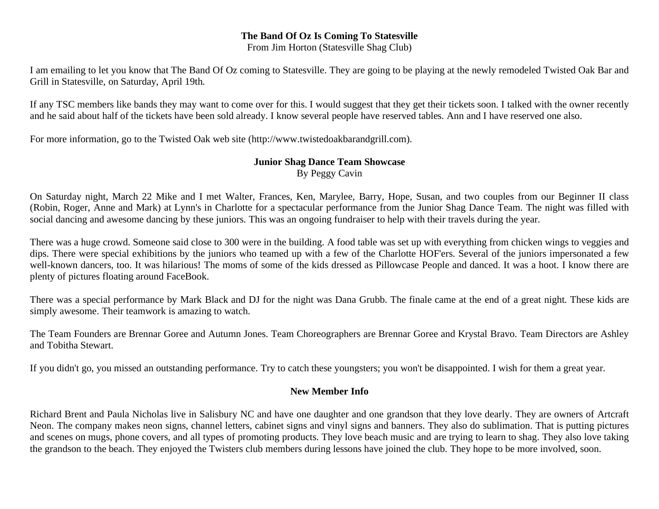### **The Band Of Oz Is Coming To Statesville**

From Jim Horton (Statesville Shag Club)

I am emailing to let you know that The Band Of Oz coming to Statesville. They are going to be playing at the newly remodeled Twisted Oak Bar and Grill in Statesville, on Saturday, April 19th.

If any TSC members like bands they may want to come over for this. I would suggest that they get their tickets soon. I talked with the owner recently and he said about half of the tickets have been sold already. I know several people have reserved tables. Ann and I have reserved one also.

For more information, go to the Twisted Oak web site (http://www.twistedoakbarandgrill.com).

### **Junior Shag Dance Team Showcase**

By Peggy Cavin

On Saturday night, March 22 Mike and I met Walter, Frances, Ken, Marylee, Barry, Hope, Susan, and two couples from our Beginner II class (Robin, Roger, Anne and Mark) at Lynn's in Charlotte for a spectacular performance from the Junior Shag Dance Team. The night was filled with social dancing and awesome dancing by these juniors. This was an ongoing fundraiser to help with their travels during the year.

There was a huge crowd. Someone said close to 300 were in the building. A food table was set up with everything from chicken wings to veggies and dips. There were special exhibitions by the juniors who teamed up with a few of the Charlotte HOF'ers. Several of the juniors impersonated a few well-known dancers, too. It was hilarious! The moms of some of the kids dressed as Pillowcase People and danced. It was a hoot. I know there are plenty of pictures floating around FaceBook.

There was a special performance by Mark Black and DJ for the night was Dana Grubb. The finale came at the end of a great night. These kids are simply awesome. Their teamwork is amazing to watch.

The Team Founders are Brennar Goree and Autumn Jones. Team Choreographers are Brennar Goree and Krystal Bravo. Team Directors are Ashley and Tobitha Stewart.

If you didn't go, you missed an outstanding performance. Try to catch these youngsters; you won't be disappointed. I wish for them a great year.

### **New Member Info**

Richard Brent and Paula Nicholas live in Salisbury NC and have one daughter and one grandson that they love dearly. They are owners of Artcraft Neon. The company makes neon signs, channel letters, cabinet signs and vinyl signs and banners. They also do sublimation. That is putting pictures and scenes on mugs, phone covers, and all types of promoting products. They love beach music and are trying to learn to shag. They also love taking the grandson to the beach. They enjoyed the Twisters club members during lessons have joined the club. They hope to be more involved, soon.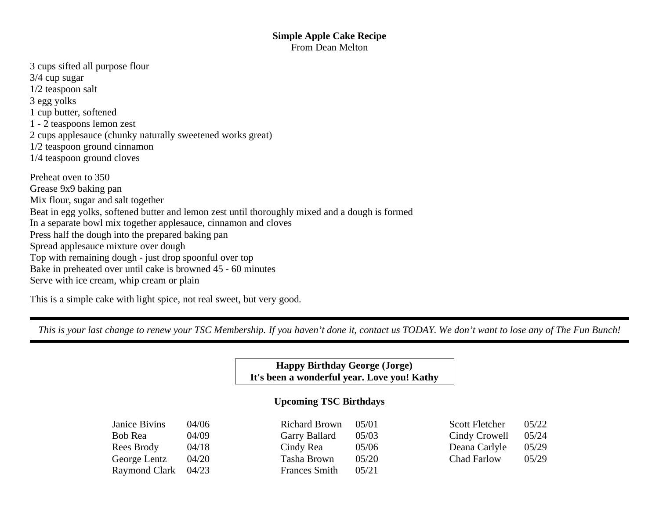### **Simple Apple Cake Recipe**  From Dean Melton

- 3 cups sifted all purpose flour 3/4 cup sugar 1/2 teaspoon salt 3 egg yolks 1 cup butter, softened 1 - 2 teaspoons lemon zest 2 cups applesauce (chunky naturally sweetened works great) 1/2 teaspoon ground cinnamon 1/4 teaspoon ground cloves Preheat oven to 350 Grease 9x9 baking pan Mix flour, sugar and salt together
- Beat in egg yolks, softened butter and lemon zest until thoroughly mixed and a dough is formed
- In a separate bowl mix together applesauce, cinnamon and cloves
- Press half the dough into the prepared baking pan
- Spread applesauce mixture over dough
- Top with remaining dough just drop spoonful over top
- Bake in preheated over until cake is browned 45 60 minutes
- Serve with ice cream, whip cream or plain

This is a simple cake with light spice, not real sweet, but very good.

*This is your last change to renew your TSC Membership. If you haven't done it, contact us TODAY. We don't want to lose any of The Fun Bunch!* 

# **Happy Birthday George (Jorge) It's been a wonderful year. Love you! Kathy**

# **Upcoming TSC Birthdays**

| Janice Bivins | 04/06 | Richard Brown        | 05/01 | Scott Fletcher | 05/22 |
|---------------|-------|----------------------|-------|----------------|-------|
| Bob Rea       | 04/09 | Garry Ballard        | 05/03 | Cindy Crowell  | 05/24 |
| Rees Brody    | 04/18 | Cindy Rea            | 05/06 | Deana Carlyle  | 05/29 |
| George Lentz  | 04/20 | Tasha Brown          | 05/20 | Chad Farlow    | 05/29 |
| Raymond Clark | 04/23 | <b>Frances Smith</b> | 05/21 |                |       |